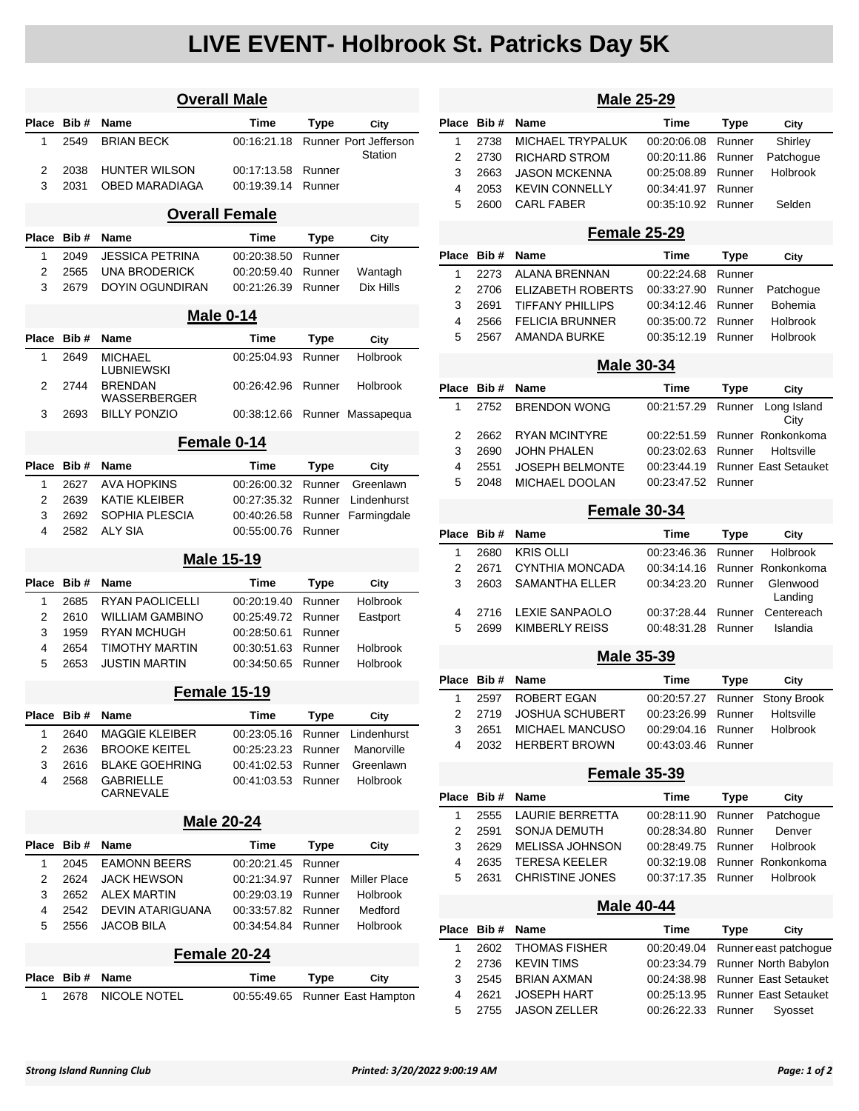## **LIVE EVENT- Holbrook St. Patricks Day 5K**

|                       |      | <b>Overall Male</b>                   |             |             |                                         |  |
|-----------------------|------|---------------------------------------|-------------|-------------|-----------------------------------------|--|
| Place                 | Bib# | <b>Name</b>                           | Time        | Type        | City                                    |  |
| 1                     | 2549 | <b>BRIAN BECK</b>                     | 00:16:21.18 |             | <b>Runner Port Jefferson</b><br>Station |  |
| 2                     | 2038 | <b>HUNTER WILSON</b>                  | 00:17:13.58 | Runner      |                                         |  |
| 3                     | 2031 | <b>OBED MARADIAGA</b>                 | 00:19:39.14 | Runner      |                                         |  |
| <b>Overall Female</b> |      |                                       |             |             |                                         |  |
| <b>Place</b>          | Bib# | Name                                  | Time        | Type        | City                                    |  |
| 1                     | 2049 | <b>JESSICA PETRINA</b>                | 00:20:38.50 | Runner      |                                         |  |
| 2                     | 2565 | <b>UNA BRODERICK</b>                  | 00:20:59.40 | Runner      | Wantagh                                 |  |
| 3                     | 2679 | <b>DOYIN OGUNDIRAN</b>                | 00:21:26.39 | Runner      | Dix Hills                               |  |
|                       |      | <b>Male 0-14</b>                      |             |             |                                         |  |
| Place                 | Bib# | Name                                  | Time        | Type        | City                                    |  |
| 1                     | 2649 | <b>MICHAEL</b><br>LUBNIEWSKI          | 00:25:04.93 | Runner      | Holbrook                                |  |
| 2                     | 2744 | <b>BRENDAN</b><br><b>WASSERBERGER</b> | 00:26:42.96 | Runner      | Holbrook                                |  |
| 3                     | 2693 | <b>BILLY PONZIO</b>                   | 00:38:12.66 |             | Runner Massapequa                       |  |
|                       |      | Female 0-14                           |             |             |                                         |  |
| <b>Place</b>          | Bib# | <b>Name</b>                           | Time        | <b>Type</b> | City                                    |  |
| 1                     | 2627 | AVA HOPKINS                           | 00:26:00.32 | Runner      | Greenlawn                               |  |
| 2                     | 2639 | <b>KATIE KLEIBER</b>                  | 00:27:35.32 | Runner      | Lindenhurst                             |  |
| 3                     | 2692 | SOPHIA PLESCIA                        | 00:40:26.58 | Runner      | Farmingdale                             |  |
| 4                     | 2582 | <b>ALY SIA</b>                        | 00:55:00.76 | Runner      |                                         |  |
|                       |      | <b>Male 15-19</b>                     |             |             |                                         |  |
| <b>Place</b>          | Bib# | <b>Name</b>                           | Time        | Type        | City                                    |  |
| 1                     | 2685 | <b>RYAN PAOLICELLI</b>                | 00:20:19.40 | Runner      | Holbrook                                |  |
| 2                     | 2610 | <b>WILLIAM GAMBINO</b>                | 00:25:49.72 | Runner      | Eastport                                |  |
| 3                     | 1959 | <b>RYAN MCHUGH</b>                    | 00:28:50.61 | Runner      |                                         |  |
| 4                     | 2654 | <b>TIMOTHY MARTIN</b>                 | 00:30:51.63 | Runner      | Holbrook                                |  |
| 5                     | 2653 | <b>JUSTIN MARTIN</b>                  | 00:34:50.65 | Runner      | Holbrook                                |  |
|                       |      | Female 15-19                          |             |             |                                         |  |
| riace                 | Bib# | <b>Name</b>                           | Time        | Type        | City                                    |  |
| 1                     | 2640 | <b>MAGGIE KLEIBER</b>                 | 00:23:05.16 | Runner      | Lindenhurst                             |  |
| 2                     | 2636 | <b>BROOKE KEITEL</b>                  | 00:25:23.23 | Runner      | Manorville                              |  |
| 3                     | 2616 | <b>BLAKE GOEHRING</b>                 | 00:41:02.53 | Runner      | Greenlawn                               |  |
| 4                     | 2568 | <b>GABRIELLE</b><br><b>CARNEVALE</b>  | 00:41:03.53 | Runner      | Holbrook                                |  |
|                       |      | <b>Male 20-24</b>                     |             |             |                                         |  |
| Place                 | Bib# | Name                                  | Time        | <b>Type</b> | City                                    |  |
| 1                     | 2045 | <b>EAMONN BEERS</b>                   | 00:20:21.45 | Runner      |                                         |  |
| 2                     | 2624 | <b>JACK HEWSON</b>                    | 00:21:34.97 | Runner      | Miller Place                            |  |
| 3                     | 2652 | <b>ALEX MARTIN</b>                    | 00:29:03.19 | Runner      | Holbrook                                |  |
| 4                     | 2542 | <b>DEVIN ATARIGUANA</b>               | 00:33:57.82 | Runner      | Medford                                 |  |
| 5                     | 2556 | <b>JACOB BILA</b>                     | 00:34:54.84 | Runner      | Holbrook                                |  |
|                       |      | Female 20-24                          |             |             |                                         |  |
| Place                 | Bib# | Name                                  | Time        | Type        | City                                    |  |
| 1                     | 2678 | <b>NICOLE NOTEL</b>                   | 00:55:49.65 |             | Runner East Hampton                     |  |

|                         | <b>Male 25-29</b> |                         |             |             |                             |  |  |  |
|-------------------------|-------------------|-------------------------|-------------|-------------|-----------------------------|--|--|--|
|                         |                   |                         |             |             |                             |  |  |  |
| Place                   | Bib#              | <b>Name</b>             | <b>Time</b> | Type        | City                        |  |  |  |
| 1                       | 2738              | MICHAEL TRYPALUK        | 00:20:06.08 | Runner      | Shirley                     |  |  |  |
| 2                       | 2730              | RICHARD STROM           | 00:20:11.86 | Runner      | Patchogue                   |  |  |  |
| 3                       | 2663              | <b>JASON MCKENNA</b>    | 00:25:08.89 | Runner      | <b>Holbrook</b>             |  |  |  |
| 4                       | 2053              | <b>KEVIN CONNELLY</b>   | 00:34:41.97 | Runner      |                             |  |  |  |
| 5                       | 2600              | <b>CARL FABER</b>       | 00:35:10.92 | Runner      | Selden                      |  |  |  |
| Female 25-29            |                   |                         |             |             |                             |  |  |  |
| Place                   | Bib #             | Name                    | Time        | <b>Type</b> | City                        |  |  |  |
| 1                       | 2273              | <b>ALANA BRENNAN</b>    | 00:22:24.68 | Runner      |                             |  |  |  |
| 2                       | 2706              | ELIZABETH ROBERTS       | 00:33:27.90 | Runner      | Patchogue                   |  |  |  |
| 3                       | 2691              | <b>TIFFANY PHILLIPS</b> | 00:34:12.46 | Runner      | Bohemia                     |  |  |  |
| 4                       | 2566              | <b>FELICIA BRUNNER</b>  | 00:35:00.72 | Runner      | Holbrook                    |  |  |  |
| 5                       | 2567              | <b>AMANDA BURKE</b>     | 00:35:12.19 | Runner      | <b>Holbrook</b>             |  |  |  |
|                         |                   |                         |             |             |                             |  |  |  |
|                         | <b>Male 30-34</b> |                         |             |             |                             |  |  |  |
| Place                   | Bib#              | Name                    | Time        | Type        | City                        |  |  |  |
| 1                       | 2752              | <b>BRENDON WONG</b>     | 00:21:57.29 | Runner      | Long Island<br>City         |  |  |  |
| 2                       | 2662              | <b>RYAN MCINTYRE</b>    | 00:22:51.59 |             | Runner Ronkonkoma           |  |  |  |
| 3                       | 2690              | JOHN PHALEN             | 00:23:02.63 | Runner      | Holtsville                  |  |  |  |
| 4                       | 2551              | <b>JOSEPH BELMONTE</b>  | 00:23:44.19 |             | <b>Runner East Setauket</b> |  |  |  |
| 5                       | 2048              | <b>MICHAEL DOOLAN</b>   | 00:23:47.52 | Runner      |                             |  |  |  |
|                         |                   | Female 30-34            |             |             |                             |  |  |  |
| Place                   | Bib#              | <b>Name</b>             | <b>Time</b> | <b>Type</b> | City                        |  |  |  |
| 1                       | 2680              | KRIS OLLI               | 00:23:46.36 | Runner      | Holbrook                    |  |  |  |
| $\overline{2}$          | 2671              | <b>CYNTHIA MONCADA</b>  | 00:34:14.16 |             | Runner Ronkonkoma           |  |  |  |
| 3                       | 2603              | SAMANTHA ELLER          | 00:34:23.20 | Runner      | Glenwood<br>Landing         |  |  |  |
| 4                       | 2716              | <b>LEXIE SANPAOLO</b>   | 00:37:28.44 | Runner      | Centereach                  |  |  |  |
| 5                       | 2699              | KIMBERLY REISS          | 00:48:31.28 | Runner      | Islandia                    |  |  |  |
|                         |                   | <b>Male 35-39</b>       |             |             |                             |  |  |  |
| Place                   | Bib#              | Name                    | <b>Time</b> | <b>Type</b> | City                        |  |  |  |
|                         |                   |                         |             |             |                             |  |  |  |
| 1                       | 2597              | ROBERT EGAN             | 00:20:57.27 | Runner      | <b>Stony Brook</b>          |  |  |  |
| 2                       | 2719              | <b>JOSHUA SCHUBERT</b>  | 00:23:26.99 | Runner      | Holtsville                  |  |  |  |
| 3                       | 2651              | MICHAEL MANCUSO         | 00:29:04.16 | Runner      | Holbrook                    |  |  |  |
| 4                       | 2032              | <b>HERBERT BROWN</b>    | 00:43:03.46 | Runner      |                             |  |  |  |
|                         |                   | <b>Female 35-39</b>     |             |             |                             |  |  |  |
| Place                   | Bib#              | Name                    | Time        | <b>Type</b> | City                        |  |  |  |
| 1                       | 2555              | LAURIE BERRETTA         | 00:28:11.90 | Runner      | Patchogue                   |  |  |  |
| 2                       | 2591              | SONJA DEMUTH            | 00:28:34.80 | Runner      | Denver                      |  |  |  |
| 3                       | 2629              | <b>MELISSA JOHNSON</b>  | 00:28:49.75 | Runner      | Holbrook                    |  |  |  |
| 4                       | 2635              | <b>TERESA KEELER</b>    | 00:32:19.08 |             | Runner Ronkonkoma           |  |  |  |
| 5                       | 2631              | <b>CHRISTINE JONES</b>  | 00:37:17.35 | Runner      | Holbrook                    |  |  |  |
|                         |                   |                         |             |             |                             |  |  |  |
|                         |                   | <b>Male 40-44</b>       |             |             |                             |  |  |  |
| Place                   | Bib#              | Name                    | Time        | <b>Type</b> | City                        |  |  |  |
| 1                       | 2602              | <b>THOMAS FISHER</b>    | 00:20:49.04 |             | Runner east patchogue       |  |  |  |
| $\overline{\mathbf{c}}$ | 2736              | <b>KEVIN TIMS</b>       | 00:23:34.79 |             | Runner North Babylon        |  |  |  |
| 3                       | 2545              | <b>BRIAN AXMAN</b>      | 00:24:38.98 |             | Runner East Setauket        |  |  |  |
| 4                       | 2621              | JOSEPH HART             | 00:25:13.95 |             | <b>Runner East Setauket</b> |  |  |  |

2755 JASON ZELLER 00:26:22.33 Runner Syosset